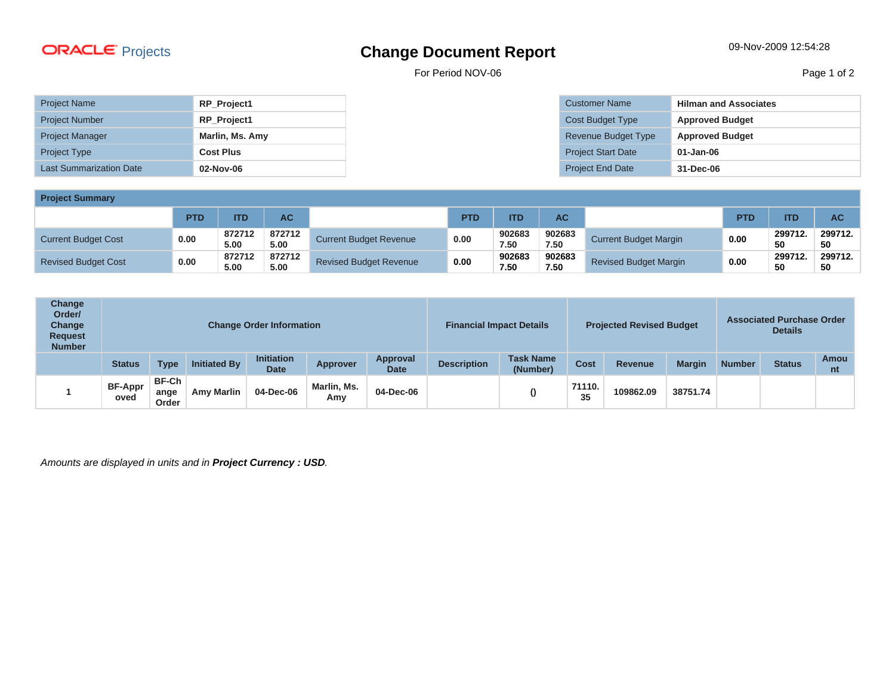## Projects **Change Document Report** 09-Nov-2009 12:54:28

For Period NOV-06 Page 1 of 2

| <b>Project Name</b>            | RP_Project1        |
|--------------------------------|--------------------|
| <b>Project Number</b>          | <b>RP Project1</b> |
| <b>Project Manager</b>         | Marlin, Ms. Amy    |
| <b>Project Type</b>            | <b>Cost Plus</b>   |
| <b>Last Summarization Date</b> | 02-Nov-06          |

| <b>Customer Name</b>      | <b>Hilman and Associates</b> |
|---------------------------|------------------------------|
| Cost Budget Type          | <b>Approved Budget</b>       |
| Revenue Budget Type       | <b>Approved Budget</b>       |
| <b>Project Start Date</b> | $01 - Jan-06$                |
| <b>Project End Date</b>   | 31-Dec-06                    |

**Project Summary**

| <b>Project Summary</b>     |            |                |                |                               |            |                |                |                              |            |               |               |
|----------------------------|------------|----------------|----------------|-------------------------------|------------|----------------|----------------|------------------------------|------------|---------------|---------------|
|                            | <b>PTD</b> | <b>ITD</b>     | AC             |                               | <b>PTD</b> | ITD            | <b>AC</b>      |                              | <b>PTD</b> | <b>ITD</b>    | <b>AC</b>     |
| <b>Current Budget Cost</b> | 0.00       | 872712<br>5.00 | 872712<br>5.00 | <b>Current Budget Revenue</b> | 0.00       | 902683<br>7.50 | 902683<br>7.50 | <b>Current Budget Margin</b> | 0.00       | 299712.<br>50 | 299712.<br>50 |
| <b>Revised Budget Cost</b> | 0.00       | 872712<br>5.00 | 872712<br>5.00 | <b>Revised Budget Revenue</b> | 0.00       | 902683<br>7.50 | 902683<br>7.50 | <b>Revised Budget Margin</b> | 0.00       | 299712.<br>50 | 299712.<br>50 |

| Change<br>Order/<br>Change<br><b>Request</b><br><b>Number</b> | <b>Change Order Information</b> |                               |                     | <b>Financial Impact Details</b>  | <b>Projected Revised Budget</b> |                         |                    | <b>Associated Purchase Order</b><br><b>Details</b> |              |                |               |               |               |            |
|---------------------------------------------------------------|---------------------------------|-------------------------------|---------------------|----------------------------------|---------------------------------|-------------------------|--------------------|----------------------------------------------------|--------------|----------------|---------------|---------------|---------------|------------|
|                                                               | <b>Status</b>                   | Type                          | <b>Initiated By</b> | <b>Initiation</b><br><b>Date</b> | <b>Approver</b>                 | Approval<br><b>Date</b> | <b>Description</b> | <b>Task Name</b><br>(Number)                       | <b>Cost</b>  | <b>Revenue</b> | <b>Margin</b> | <b>Number</b> | <b>Status</b> | Amou<br>nt |
|                                                               | <b>BF-Appr</b><br>oved          | <b>BF-Ch</b><br>ange<br>Order | <b>Amy Marlin</b>   | 04-Dec-06                        | Marlin, Ms.<br>Amy              | 04-Dec-06               |                    |                                                    | 71110.<br>35 | 109862.09      | 38751.74      |               |               |            |

Amounts are displayed in units and in **Project Currency : USD**.